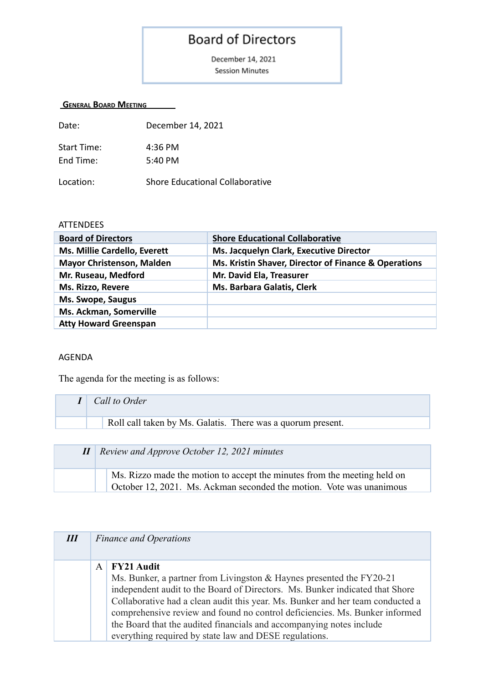## **Board of Directors**

December 14, 2021 **Session Minutes** 

## **GENERAL BOARD MEETING**

| Date:              | December 14, 2021               |
|--------------------|---------------------------------|
| <b>Start Time:</b> | 4:36 PM                         |
| End Time:          | 5:40 PM                         |
| Location:          | Shore Educational Collaborative |

## **ATTENDEES**

| <b>Board of Directors</b>           | <b>Shore Educational Collaborative</b>               |
|-------------------------------------|------------------------------------------------------|
| <b>Ms. Millie Cardello, Everett</b> | Ms. Jacquelyn Clark, Executive Director              |
| <b>Mayor Christenson, Malden</b>    | Ms. Kristin Shaver, Director of Finance & Operations |
| Mr. Ruseau, Medford                 | Mr. David Ela, Treasurer                             |
| Ms. Rizzo, Revere                   | <b>Ms. Barbara Galatis, Clerk</b>                    |
| Ms. Swope, Saugus                   |                                                      |
| Ms. Ackman, Somerville              |                                                      |
| <b>Atty Howard Greenspan</b>        |                                                      |

## AGENDA

The agenda for the meeting is as follows:

| Call to Order                                               |
|-------------------------------------------------------------|
| Roll call taken by Ms. Galatis. There was a quorum present. |
|                                                             |

| $\boldsymbol{H}$ | Review and Approve October 12, 2021 minutes                                                                                                      |
|------------------|--------------------------------------------------------------------------------------------------------------------------------------------------|
|                  | Ms. Rizzo made the motion to accept the minutes from the meeting held on<br>October 12, 2021. Ms. Ackman seconded the motion. Vote was unanimous |

| $I\!I\!I$ |   | <b>Finance and Operations</b>                                                                                                                                                                                                                                                                                                                                                                                                                                                |
|-----------|---|------------------------------------------------------------------------------------------------------------------------------------------------------------------------------------------------------------------------------------------------------------------------------------------------------------------------------------------------------------------------------------------------------------------------------------------------------------------------------|
|           | A | <b>FY21 Audit</b><br>Ms. Bunker, a partner from Livingston & Haynes presented the FY20-21<br>independent audit to the Board of Directors. Ms. Bunker indicated that Shore<br>Collaborative had a clean audit this year. Ms. Bunker and her team conducted a<br>comprehensive review and found no control deficiencies. Ms. Bunker informed<br>the Board that the audited financials and accompanying notes include<br>everything required by state law and DESE regulations. |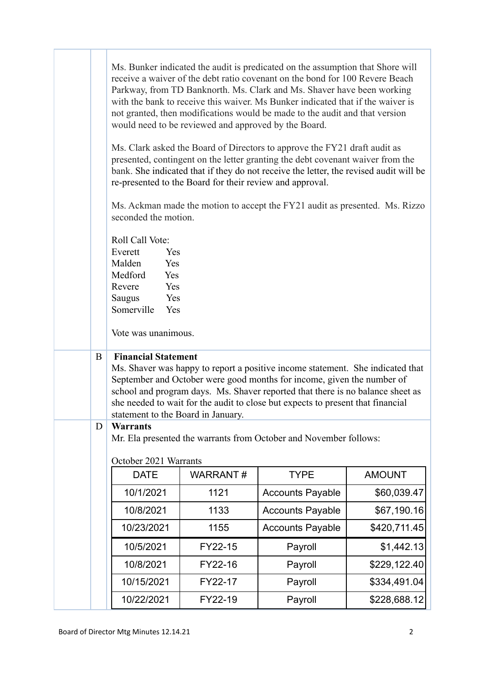|   |                                                                                                                                                    | would need to be reviewed and approved by the Board.     | Ms. Bunker indicated the audit is predicated on the assumption that Shore will<br>receive a waiver of the debt ratio covenant on the bond for 100 Revere Beach<br>Parkway, from TD Banknorth. Ms. Clark and Ms. Shaver have been working<br>with the bank to receive this waiver. Ms Bunker indicated that if the waiver is<br>not granted, then modifications would be made to the audit and that version |               |
|---|----------------------------------------------------------------------------------------------------------------------------------------------------|----------------------------------------------------------|------------------------------------------------------------------------------------------------------------------------------------------------------------------------------------------------------------------------------------------------------------------------------------------------------------------------------------------------------------------------------------------------------------|---------------|
|   |                                                                                                                                                    | re-presented to the Board for their review and approval. | Ms. Clark asked the Board of Directors to approve the FY21 draft audit as<br>presented, contingent on the letter granting the debt covenant waiver from the<br>bank. She indicated that if they do not receive the letter, the revised audit will be                                                                                                                                                       |               |
|   | seconded the motion.                                                                                                                               |                                                          | Ms. Ackman made the motion to accept the FY21 audit as presented. Ms. Rizzo                                                                                                                                                                                                                                                                                                                                |               |
|   | Roll Call Vote:<br>Everett<br>Yes<br>Malden<br>Yes<br>Medford<br>Yes<br>Yes<br>Revere<br>Saugus<br>Yes<br>Somerville<br>Yes<br>Vote was unanimous. |                                                          |                                                                                                                                                                                                                                                                                                                                                                                                            |               |
| B | <b>Financial Statement</b><br>statement to the Board in January.                                                                                   |                                                          | Ms. Shaver was happy to report a positive income statement. She indicated that<br>September and October were good months for income, given the number of<br>school and program days. Ms. Shaver reported that there is no balance sheet as<br>she needed to wait for the audit to close but expects to present that financial                                                                              |               |
| D | <b>Warrants</b><br>October 2021 Warrants                                                                                                           |                                                          | Mr. Ela presented the warrants from October and November follows:                                                                                                                                                                                                                                                                                                                                          |               |
|   | <b>DATE</b>                                                                                                                                        | <b>WARRANT#</b>                                          | <b>TYPE</b>                                                                                                                                                                                                                                                                                                                                                                                                | <b>AMOUNT</b> |
|   | 10/1/2021                                                                                                                                          | 1121                                                     | <b>Accounts Payable</b>                                                                                                                                                                                                                                                                                                                                                                                    | \$60,039.47   |
|   | 10/8/2021                                                                                                                                          | 1133                                                     | <b>Accounts Payable</b>                                                                                                                                                                                                                                                                                                                                                                                    | \$67,190.16   |
|   | 10/23/2021                                                                                                                                         | 1155                                                     | <b>Accounts Payable</b>                                                                                                                                                                                                                                                                                                                                                                                    | \$420,711.45  |
|   | 10/5/2021                                                                                                                                          | FY22-15                                                  | Payroll                                                                                                                                                                                                                                                                                                                                                                                                    | \$1,442.13    |
|   | 10/8/2021                                                                                                                                          | FY22-16                                                  | Payroll                                                                                                                                                                                                                                                                                                                                                                                                    | \$229,122.40  |
|   | 10/15/2021                                                                                                                                         | FY22-17                                                  | Payroll                                                                                                                                                                                                                                                                                                                                                                                                    | \$334,491.04  |
|   | 10/22/2021                                                                                                                                         | FY22-19                                                  | Payroll                                                                                                                                                                                                                                                                                                                                                                                                    | \$228,688.12  |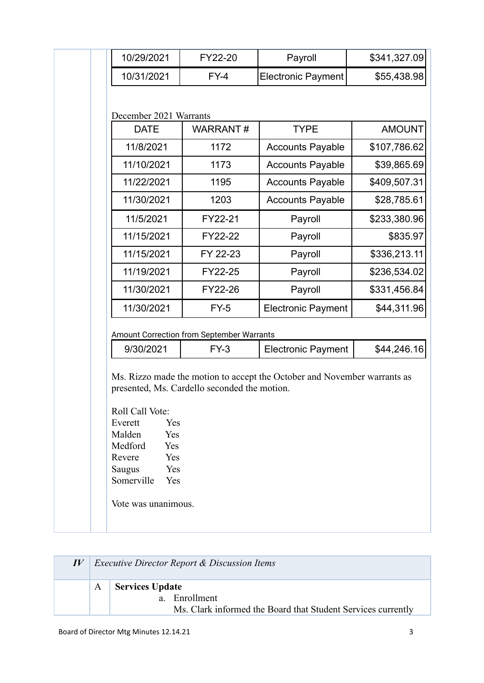| 10/31/2021<br><b>Electronic Payment</b><br>\$55,438.98<br>$FY-4$<br>December 2021 Warrants<br><b>WARRANT#</b><br><b>TYPE</b><br><b>AMOUNT</b><br><b>DATE</b><br>11/8/2021<br>1172<br>\$107,786.62<br><b>Accounts Payable</b><br>11/10/2021<br>1173<br><b>Accounts Payable</b><br>\$39,865.69<br>11/22/2021<br>1195<br>\$409,507.31<br><b>Accounts Payable</b><br>11/30/2021<br>1203<br>\$28,785.61<br><b>Accounts Payable</b><br>11/5/2021<br>FY22-21<br>Payroll<br>\$233,380.96<br>11/15/2021<br>FY22-22<br>Payroll<br>\$835.97<br>\$336,213.11<br>11/15/2021<br>FY 22-23<br>Payroll<br>11/19/2021<br>\$236,534.02<br>FY22-25<br>Payroll |
|-------------------------------------------------------------------------------------------------------------------------------------------------------------------------------------------------------------------------------------------------------------------------------------------------------------------------------------------------------------------------------------------------------------------------------------------------------------------------------------------------------------------------------------------------------------------------------------------------------------------------------------------|
|                                                                                                                                                                                                                                                                                                                                                                                                                                                                                                                                                                                                                                           |
|                                                                                                                                                                                                                                                                                                                                                                                                                                                                                                                                                                                                                                           |
|                                                                                                                                                                                                                                                                                                                                                                                                                                                                                                                                                                                                                                           |
|                                                                                                                                                                                                                                                                                                                                                                                                                                                                                                                                                                                                                                           |
|                                                                                                                                                                                                                                                                                                                                                                                                                                                                                                                                                                                                                                           |
|                                                                                                                                                                                                                                                                                                                                                                                                                                                                                                                                                                                                                                           |
|                                                                                                                                                                                                                                                                                                                                                                                                                                                                                                                                                                                                                                           |
|                                                                                                                                                                                                                                                                                                                                                                                                                                                                                                                                                                                                                                           |
|                                                                                                                                                                                                                                                                                                                                                                                                                                                                                                                                                                                                                                           |
|                                                                                                                                                                                                                                                                                                                                                                                                                                                                                                                                                                                                                                           |
|                                                                                                                                                                                                                                                                                                                                                                                                                                                                                                                                                                                                                                           |
|                                                                                                                                                                                                                                                                                                                                                                                                                                                                                                                                                                                                                                           |
| 11/30/2021<br>FY22-26<br>Payroll<br>\$331,456.84                                                                                                                                                                                                                                                                                                                                                                                                                                                                                                                                                                                          |
| 11/30/2021<br>\$44,311.96<br>$FY-5$<br><b>Electronic Payment</b>                                                                                                                                                                                                                                                                                                                                                                                                                                                                                                                                                                          |
|                                                                                                                                                                                                                                                                                                                                                                                                                                                                                                                                                                                                                                           |
| Amount Correction from September Warrants                                                                                                                                                                                                                                                                                                                                                                                                                                                                                                                                                                                                 |
| \$44,246.16<br>9/30/2021<br>$FY-3$<br><b>Electronic Payment</b>                                                                                                                                                                                                                                                                                                                                                                                                                                                                                                                                                                           |

|              | <i>Executive Director Report &amp; Discussion Items</i>                                                             |
|--------------|---------------------------------------------------------------------------------------------------------------------|
| $\mathsf{A}$ | <b>Services Update</b><br>$a_{\cdot}$<br>Enrollment<br>Ms. Clark informed the Board that Student Services currently |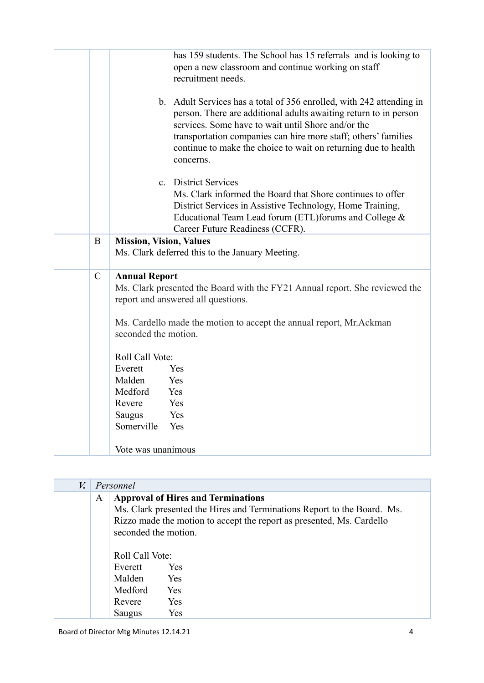|               | has 159 students. The School has 15 referrals and is looking to<br>open a new classroom and continue working on staff<br>recruitment needs.                                                                                                                                                                                                                                     |
|---------------|---------------------------------------------------------------------------------------------------------------------------------------------------------------------------------------------------------------------------------------------------------------------------------------------------------------------------------------------------------------------------------|
|               | b. Adult Services has a total of 356 enrolled, with 242 attending in<br>person. There are additional adults awaiting return to in person<br>services. Some have to wait until Shore and/or the<br>transportation companies can hire more staff; others' families<br>continue to make the choice to wait on returning due to health<br>concerns.                                 |
|               | c. District Services<br>Ms. Clark informed the Board that Shore continues to offer<br>District Services in Assistive Technology, Home Training,<br>Educational Team Lead forum (ETL) forums and College &<br>Career Future Readiness (CCFR).                                                                                                                                    |
| B             | <b>Mission, Vision, Values</b><br>Ms. Clark deferred this to the January Meeting.                                                                                                                                                                                                                                                                                               |
| $\mathcal{C}$ | <b>Annual Report</b><br>Ms. Clark presented the Board with the FY21 Annual report. She reviewed the<br>report and answered all questions.<br>Ms. Cardello made the motion to accept the annual report, Mr. Ackman<br>seconded the motion.<br>Roll Call Vote:<br>Everett<br>Yes<br>Malden<br>Yes<br>Medford<br>Yes<br>Revere<br>Yes<br>Yes<br><b>Saugus</b><br>Somerville<br>Yes |
|               | Vote was unanimous                                                                                                                                                                                                                                                                                                                                                              |

| $V_{\cdot}$ |   | Personnel                                                           |                                                                                                                                                                                               |
|-------------|---|---------------------------------------------------------------------|-----------------------------------------------------------------------------------------------------------------------------------------------------------------------------------------------|
|             | A | seconded the motion.                                                | <b>Approval of Hires and Terminations</b><br>Ms. Clark presented the Hires and Terminations Report to the Board. Ms.<br>Rizzo made the motion to accept the report as presented, Ms. Cardello |
|             |   | Roll Call Vote:<br>Everett<br>Malden<br>Medford<br>Revere<br>Saugus | <b>Yes</b><br><b>Yes</b><br>Yes<br>Yes<br>Yes                                                                                                                                                 |